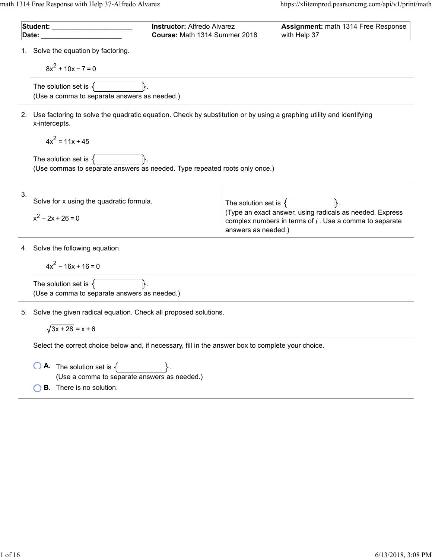| Student: ______<br>Date:                                                                           |                                                                                                                                         | <b>Instructor: Alfredo Alvarez</b><br>Course: Math 1314 Summer 2018 |                          | Assignment: math 1314 Free Response<br>with Help 37                                                                   |  |
|----------------------------------------------------------------------------------------------------|-----------------------------------------------------------------------------------------------------------------------------------------|---------------------------------------------------------------------|--------------------------|-----------------------------------------------------------------------------------------------------------------------|--|
|                                                                                                    | 1. Solve the equation by factoring.<br>$8x^{2}$ + 10x - 7 = 0                                                                           |                                                                     |                          |                                                                                                                       |  |
|                                                                                                    | The solution set is $\{$<br>(Use a comma to separate answers as needed.)                                                                |                                                                     |                          |                                                                                                                       |  |
|                                                                                                    | 2. Use factoring to solve the quadratic equation. Check by substitution or by using a graphing utility and identifying<br>x-intercepts. |                                                                     |                          |                                                                                                                       |  |
|                                                                                                    | $4x^2 = 11x + 45$                                                                                                                       |                                                                     |                          |                                                                                                                       |  |
|                                                                                                    | The solution set is $\{$<br>(Use commas to separate answers as needed. Type repeated roots only once.)                                  |                                                                     |                          |                                                                                                                       |  |
| 3.                                                                                                 | Solve for x using the quadratic formula.<br>$x^2 - 2x + 26 = 0$                                                                         |                                                                     | The solution set is $\{$ | (Type an exact answer, using radicals as needed. Express<br>complex numbers in terms of $i$ . Use a comma to separate |  |
|                                                                                                    |                                                                                                                                         |                                                                     | answers as needed.)      |                                                                                                                       |  |
|                                                                                                    | 4. Solve the following equation.                                                                                                        |                                                                     |                          |                                                                                                                       |  |
|                                                                                                    | $4x^2 - 16x + 16 = 0$                                                                                                                   |                                                                     |                          |                                                                                                                       |  |
|                                                                                                    | The solution set is $\{$<br>(Use a comma to separate answers as needed.)                                                                |                                                                     |                          |                                                                                                                       |  |
|                                                                                                    | 5. Solve the given radical equation. Check all proposed solutions.                                                                      |                                                                     |                          |                                                                                                                       |  |
|                                                                                                    | $\sqrt{3x+28}$ = x + 6                                                                                                                  |                                                                     |                          |                                                                                                                       |  |
| Select the correct choice below and, if necessary, fill in the answer box to complete your choice. |                                                                                                                                         |                                                                     |                          |                                                                                                                       |  |
|                                                                                                    | <b>A.</b> The solution set is $\{$<br>(Use a comma to separate answers as needed.)                                                      |                                                                     |                          |                                                                                                                       |  |
|                                                                                                    | <b>B.</b> There is no solution.                                                                                                         |                                                                     |                          |                                                                                                                       |  |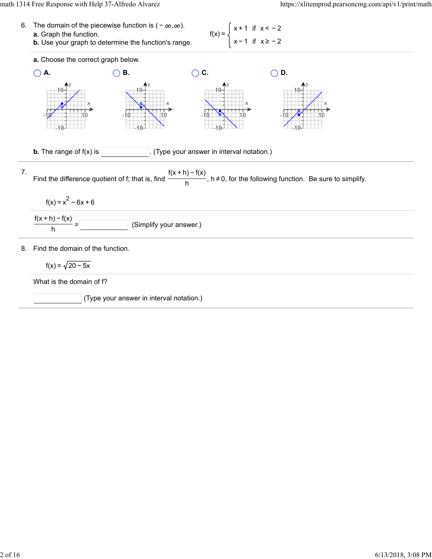



(Type your answer in interval notation.)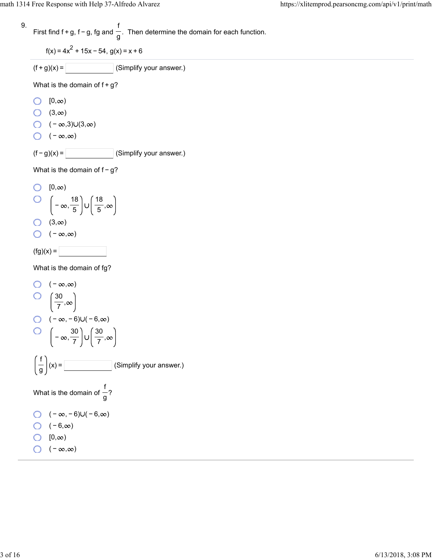9. First find 
$$
f + g
$$
,  $f - g$ , fg and  $\frac{f}{g}$ . Then determine the domain for each function.

 $f(x) = 4x^2 + 15x - 54$ ,  $g(x) = x + 6$ 

 $(f+g)(x) =$  (Simplify your answer.)

What is the domain of  $f+g$ ?

- $[0, \infty)$
- $\bigcirc$  (3,  $\infty$ )
- $\bigcirc$  ( − ∞,3)∪(3,∞)
- $\bigcirc$  ( − ∞,∞)

 $(f - g)(x) =$  (Simplify your answer.)

What is the domain of  $f-g$ ?

O [0,
$$
\infty
$$
)  
O  $\left(-\infty, \frac{18}{5}\right) \cup \left(\frac{18}{5}, \infty\right)$   
O (3, $\infty$ )

$$
\bigcirc \quad (-\infty,\infty)
$$

$$
f(g)(x) =
$$

What is the domain of fg?

O 
$$
(-\infty, \infty)
$$
  
\nO  $\left(\frac{30}{7}, \infty\right)$   
\nO  $(-\infty, -6) \cup (-6, \infty)$   
\nO  $\left(-\infty, \frac{30}{7}\right) \cup \left(\frac{30}{7}, \infty\right)$   
\n $\left(\frac{f}{g}\right)(x) =$  [Simplify your answer.)  
\nWhat is the domain of  $\frac{f}{g}$ ?  
\nO  $(-\infty, -6) \cup (-6, \infty)$   
\nO  $(-6, \infty)$   
\nO  $(0, \infty)$   
\nO  $(0, \infty)$   
\nO  $(-\infty, \infty)$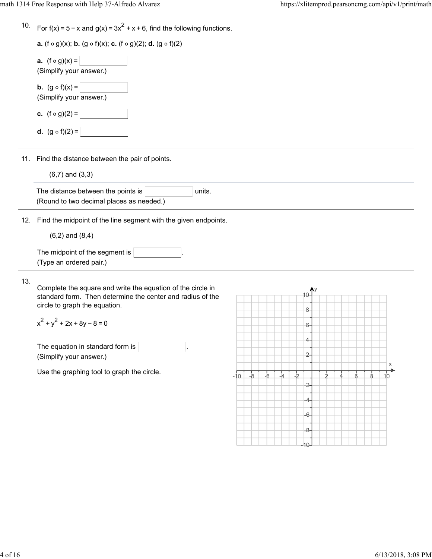|  | 10. For $f(x) = 5 - x$ and $g(x) = 3x^2 + x + 6$ , find the following functions. |  |  |  |  |  |
|--|----------------------------------------------------------------------------------|--|--|--|--|--|
|--|----------------------------------------------------------------------------------|--|--|--|--|--|

| <b>a.</b> $(f \circ g)(x) =$<br>(Simplify your answer.) |
|---------------------------------------------------------|
| <b>b.</b> $(g \circ f)(x) =$<br>(Simplify your answer.) |
| <b>c.</b> $(f \circ g)(2) =$                            |
| <b>d.</b> $(g \circ f)(2) =$                            |

11. Find the distance between the pair of points.

 $(6, 7)$  and  $(3, 3)$ 

| The distance between the points is       | ˈ units. |  |
|------------------------------------------|----------|--|
| (Round to two decimal places as needed.) |          |  |

12. Find the midpoint of the line segment with the given endpoints.

 $(6, 2)$  and  $(8, 4)$ 

| The midpoint of the segment is |  |
|--------------------------------|--|
| (Type an ordered pair.)        |  |

13.

Complete the square and write the equation of the circle in standard form. Then determine the center and radius of the circle to graph the equation.

 $x^2 + y^2 + 2x + 8y - 8 = 0$ 

The equation in standard form is (Simplify your answer.)

Use the graphing tool to graph the circle.

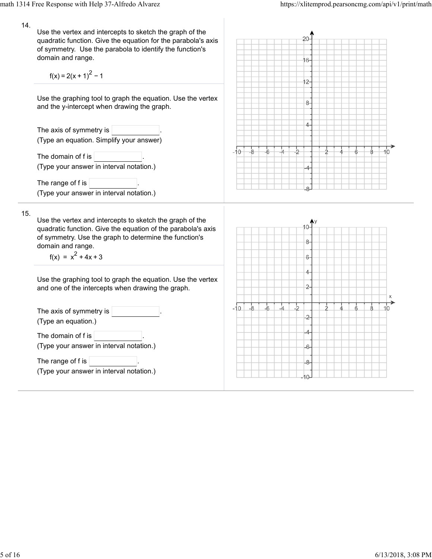14. Use the vertex and intercepts to sketch the graph of the quadratic function. Give the equation for the parabola's axis of symmetry. Use the parabola to identify the function's domain and range. 16 $f(x) = 2(x + 1)^{2} - 1$  $12 -$ Use the graphing tool to graph the equation. Use the vertex 8. and the y-intercept when drawing the graph. 4 The axis of symmetry is (Type an equation. Simplify your answer)  $-2$ 10  $-10^{-}$  $-8$ -4 Á The domain of  $f$  is  $\vert$ (Type your answer in interval notation.) The range of f is (Type your answer in interval notation.) 15. Use the vertex and intercepts to sketch the graph of the quadratic function. Give the equation of the parabola's axis of symmetry. Use the graph to determine the function's 8 domain and range.  $f(x) = x^2 + 4x + 3$  $6 -$ 4-Use the graphing tool to graph the equation. Use the vertex  $\overline{c}$ and one of the intercepts when drawing the graph.  $-10$   $-8$  $-6$  $-4$  $\frac{1}{2}$  $10$ ģ The axis of symmetry is 2-(Type an equation.) 4 The domain of  $f$  is  $|$ (Type your answer in interval notation.) 6 The range of  $f$  is  $-8-$ (Type your answer in interval notation.)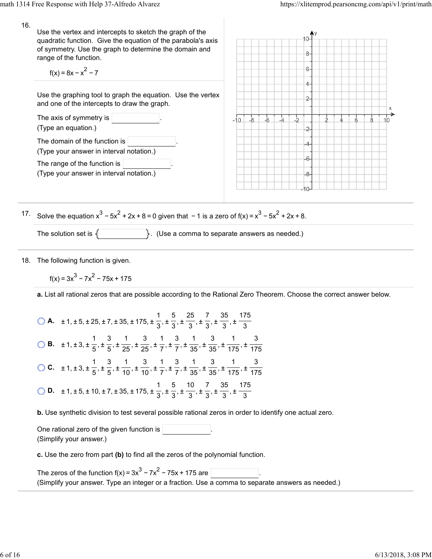16. Use the vertex and intercepts to sketch the graph of the quadratic function. Give the equation of the parabola's axis of symmetry. Use the graph to determine the domain and  $8$ range of the function.  $6$  $f(x) = 8x - x^2 - 7$ 4-Use the graphing tool to graph the equation. Use the vertex  $2$ and one of the intercepts to draw the graph. The axis of symmetry is  $-10$ -8  $-6$ (Type an equation.)  $\overline{c}$ The domain of the function is (Type your answer in interval notation.) The range of the function is  $\sqrt{ }$ (Type your answer in interval notation.) 17. Solve the equation  $x^3 - 5x^2 + 2x + 8 = 0$  given that  $-1$  is a zero of  $f(x) = x^3 - 5x^2 + 2x + 8$ . The solution set is  $\{\Box\}$ . (Use a comma to separate answers as needed.)

18. The following function is given.

 $f(x) = 3x^{3} - 7x^{2} - 75x + 175$ 

**a.** List all rational zeros that are possible according to the Rational Zero Theorem. Choose the correct answer below.

**o** A. 
$$
\pm 1, \pm 5, \pm 25, \pm 7, \pm 35, \pm 175, \pm \frac{1}{3}, \pm \frac{5}{3}, \pm \frac{25}{3}, \pm \frac{7}{3}, \pm \frac{35}{3}, \pm \frac{175}{3}
$$
  
\n**o** B.  $\pm 1, \pm 3, \pm \frac{1}{5}, \pm \frac{3}{5}, \pm \frac{1}{25}, \pm \frac{3}{25}, \pm \frac{1}{7}, \pm \frac{3}{7}, \pm \frac{1}{35}, \pm \frac{3}{35}, \pm \frac{1}{175}, \pm \frac{3}{175}$   
\n**o** C.  $\pm 1, \pm 3, \pm \frac{1}{5}, \pm \frac{3}{5}, \pm \frac{1}{10}, \pm \frac{3}{10}, \pm \frac{1}{7}, \pm \frac{3}{7}, \pm \frac{1}{35}, \pm \frac{3}{35}, \pm \frac{1}{175}, \pm \frac{3}{175}$   
\n**o** D.  $\pm 1, \pm 5, \pm 10, \pm 7, \pm 35, \pm 175, \pm \frac{1}{3}, \pm \frac{5}{3}, \pm \frac{10}{3}, \pm \frac{7}{3}, \pm \frac{35}{3}, \pm \frac{175}{3}$ 

**b.** Use synthetic division to test several possible rational zeros in order to identify one actual zero.

One rational zero of the given function is . (Simplify your answer.)

**c.** Use the zero from part **(b)** to find all the zeros of the polynomial function.

The zeros of the function  $f(x) = 3x^3 - 7x^2 - 75x + 175$  are  $\lceil$ (Simplify your answer. Type an integer or a fraction. Use a comma to separate answers as needed.)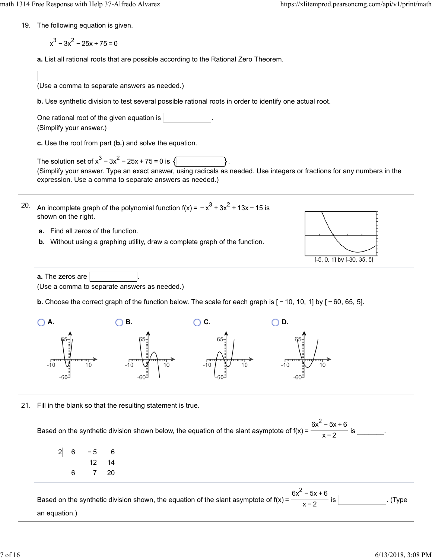- 19. The following equation is given.
	- $x^{3}$  3 $x^{2}$  25x + 75 = 0
	- **a.** List all rational roots that are possible according to the Rational Zero Theorem.
- (Use a comma to separate answers as needed.) **b.** Use synthetic division to test several possible rational roots in order to identify one actual root. One rational root of the given equation is (Simplify your answer.) **c.** Use the root from part (**b.**) and solve the equation. The solution set of  $x^3 - 3x^2 - 25x + 75 = 0$  is  $\{\}$ (Simplify your answer. Type an exact answer, using radicals as needed. Use integers or fractions for any numbers in the expression. Use a comma to separate answers as needed.) 20. An incomplete graph of the polynomial function f(x) =  $-x^3 + 3x^2 + 13x - 15$  is shown on the right. **a.** Find all zeros of the function. **b.** Without using a graphing utility, draw a complete graph of the function.  $[-5, 0, 1]$  by  $[-30, 35, 5]$ **a.** The zeros are (Use a comma to separate answers as needed.) **b.** Choose the correct graph of the function below. The scale for each graph is  $[-10, 10, 1]$  by  $[-60, 65, 5]$ . **A. A. OB. OB. OC. OD.** 21. Fill in the blank so that the resulting statement is true.  $6x^2 - 5x + 6$ Based on the synthetic division shown below, the equation of the slant asymptote of  $f(x) = \frac{1}{x}$  for  $\frac{1}{x}$  is \_\_\_\_\_\_\_. x−2
	- 2 6 −5 6 14 6 7 20

Based on the synthetic division shown, the equation of the slant asymptote of  $f(x) =$  .  $\frac{1}{\sqrt{2}}$  is . (Type an equation.)  $6x^2 - 5x + 6$ x−2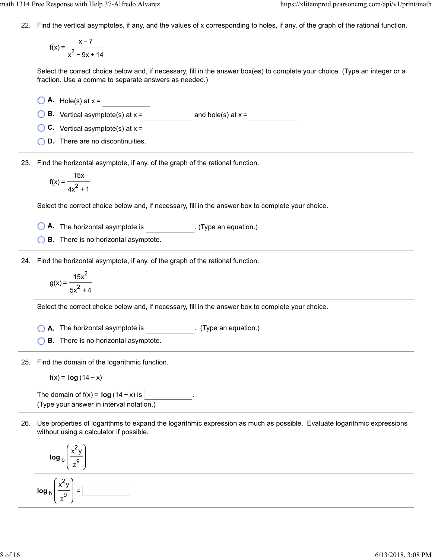22. Find the vertical asymptotes, if any, and the values of x corresponding to holes, if any, of the graph of the rational function.

f(x) = x−7  $x^2 - 9x + 14$ 

Select the correct choice below and, if necessary, fill in the answer box(es) to complete your choice. (Type an integer or a fraction. Use a comma to separate answers as needed.)

- $\bigcirc$  **A.** Hole(s) at  $x =$
- **B.** Vertical asymptote(s) at  $x =$  and hole(s) at  $x =$
- **C.** Vertical asymptote(s) at x =
- **D.** There are no discontinuities.

23. Find the horizontal asymptote, if any, of the graph of the rational function.

$$
f(x) = \frac{15x}{4x^2 + 1}
$$

Select the correct choice below and, if necessary, fill in the answer box to complete your choice.

**A.** The horizontal asymptote is ... (Type an equation.)

**B.** There is no horizontal asymptote.

24. Find the horizontal asymptote, if any, of the graph of the rational function.

$$
g(x) = \frac{15x^2}{5x^2 + 4}
$$

Select the correct choice below and, if necessary, fill in the answer box to complete your choice.

**A.** The horizontal asymptote is . (Type an equation.)

**B.** There is no horizontal asymptote.

25. Find the domain of the logarithmic function.

$$
f(x) = \log(14 - x)
$$

The domain of  $f(x) = \log(14 - x)$  is  $\vert$ (Type your answer in interval notation.)

26. Use properties of logarithms to expand the logarithmic expression as much as possible. Evaluate logarithmic expressions without using a calculator if possible.

$$
\log_{b}\left(\frac{x^{2}y}{z^{9}}\right)
$$
\n
$$
\log_{b}\left(\frac{x^{2}y}{z^{9}}\right) =
$$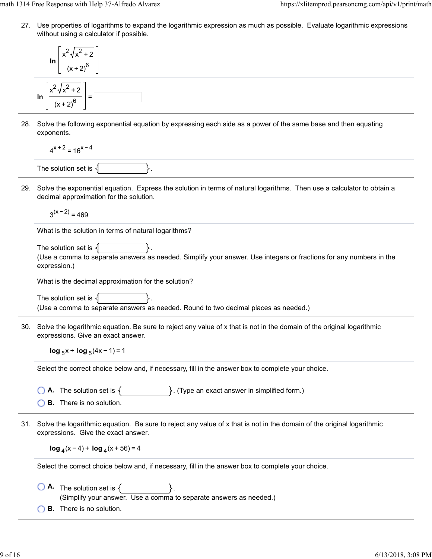27. Use properties of logarithms to expand the logarithmic expression as much as possible. Evaluate logarithmic expressions without using a calculator if possible.

$$
\ln\left[\frac{x^2\sqrt{x^2+2}}{(x+2)^6}\right]
$$
  

$$
\ln\left[\frac{x^2\sqrt{x^2+2}}{(x+2)^6}\right] = \boxed{\frac{3x^2\sqrt{x^2+2}}{(x+2)^6}}
$$

28. Solve the following exponential equation by expressing each side as a power of the same base and then equating exponents.

$$
4^{x+2} = 16^{x-4}
$$

The solution set is  $\{$ 

29. Solve the exponential equation. Express the solution in terms of natural logarithms. Then use a calculator to obtain a decimal approximation for the solution.

 $3^{(x - 2)} = 469$ 

What is the solution in terms of natural logarithms?

```
The solution set is \{(Use a comma to separate answers as needed. Simplify your answer. Use integers or fractions for any numbers in the
expression.)
```
What is the decimal approximation for the solution?

The solution set is  $\{$ (Use a comma to separate answers as needed. Round to two decimal places as needed.)

30. Solve the logarithmic equation. Be sure to reject any value of x that is not in the domain of the original logarithmic expressions. Give an exact answer.

**log**  $5x + \log 4x - 1 = 1$ 

Select the correct choice below and, if necessary, fill in the answer box to complete your choice.

- **A.** The solution set is  $\{$   $\}$ . (Type an exact answer in simplified form.)
- **B.** There is no solution.
- 31. Solve the logarithmic equation. Be sure to reject any value of x that is not in the domain of the original logarithmic expressions. Give the exact answer.

**log**  $_4$ (x − 4) + **log**  $_4$ (x + 56) = 4

Select the correct choice below and, if necessary, fill in the answer box to complete your choice.

- $\bigcirc$  **A.** The solution set is  $\{$ (Simplify your answer. Use a comma to separate answers as needed.)
- **B.** There is no solution.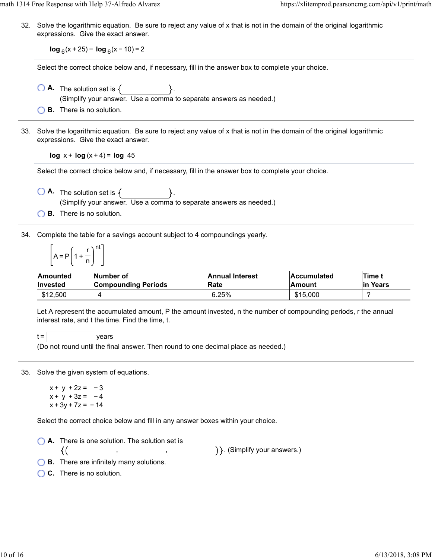math 1314 Free Response with Help 37-Alfredo Alvarez https://xlitemprod.pearsoncmg.com/api/v1/print/math

32. Solve the logarithmic equation. Be sure to reject any value of x that is not in the domain of the original logarithmic expressions. Give the exact answer.

**log**  $_6$ (x + 25) − **log**  $_6$ (x − 10) = 2

Select the correct choice below and, if necessary, fill in the answer box to complete your choice.

- $\bigcirc$  **A.** The solution set is  $\{$ (Simplify your answer. Use a comma to separate answers as needed.)
- **B.** There is no solution.
- 33. Solve the logarithmic equation. Be sure to reject any value of x that is not in the domain of the original logarithmic expressions. Give the exact answer.

**log**  $x + \log(x + 4) = \log 45$ 

Select the correct choice below and, if necessary, fill in the answer box to complete your choice.

 $\bigcirc$  **A.** The solution set is  $\{$ (Simplify your answer. Use a comma to separate answers as needed.)

**B.** There is no solution.

34. Complete the table for a savings account subject to 4 compoundings yearly.

$$
\left[A = P\left(1 + \frac{r}{n}\right)^{nt}\right]
$$

| Amounted        | <b>INumber of</b>          | <b>Annual Interest</b> | <b>Accumulated</b> | <b>ITime</b> t |
|-----------------|----------------------------|------------------------|--------------------|----------------|
| <b>Invested</b> | <b>Compounding Periods</b> | Rate                   | lAmount            | lin Years      |
| \$12,500        |                            | 6.25%                  | \$15,000           |                |

Let A represent the accumulated amount, P the amount invested, n the number of compounding periods, r the annual interest rate, and t the time. Find the time, t.

 $t =$   $|$  years

(Do not round until the final answer. Then round to one decimal place as needed.)

35. Solve the given system of equations.

 $x + y + 2z = -3$  $x + y + 3z = -4$  $x + 3y + 7z = -14$ 

Select the correct choice below and fill in any answer boxes within your choice.

**A.** There is one solution. The solution set is ) }. (Simplify your answers.) {( , ,

- **B.** There are infinitely many solutions.
- **C.** There is no solution.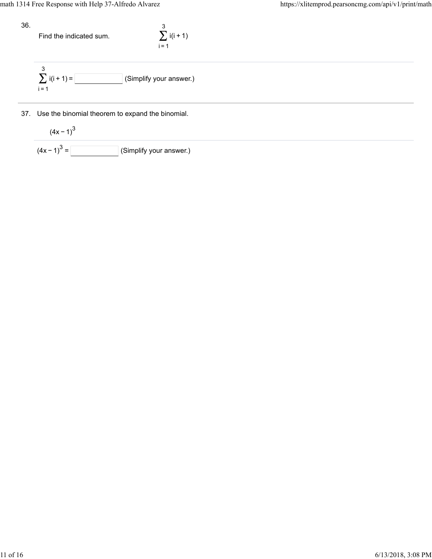36.

Find the indicated sum.

$$
\sum_{i=1}^{3} i(i+1)
$$

$$
\sum_{i=1}^{3} i(i+1) =
$$
 (Simplify your answer.)

37. Use the binomial theorem to expand the binomial.

$$
\frac{(4x-1)^3}{(4x-1)^3} = \boxed{\qquad \qquad} \text{(Simplify your answer.)}
$$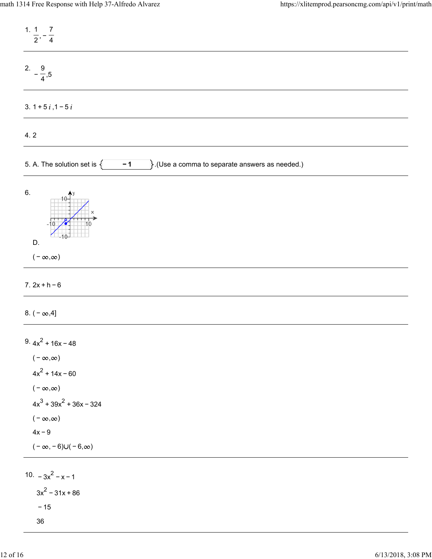| 1. $1 \quad 7$<br>$\frac{1}{2}$ , $\frac{1}{4}$                                                                                                                                               |
|-----------------------------------------------------------------------------------------------------------------------------------------------------------------------------------------------|
| 2. $-\frac{9}{4}$ ,5                                                                                                                                                                          |
| 3. $1 + 5i$ , $1 - 5i$                                                                                                                                                                        |
| 4.2                                                                                                                                                                                           |
| 5. A. The solution set is $\{$<br>$\Big\}.$ (Use a comma to separate answers as needed.)<br>$-1$                                                                                              |
| 6.<br>D.<br>$(-\infty,\infty)$                                                                                                                                                                |
| $7.2x + h - 6$                                                                                                                                                                                |
| 8. $(-\infty, 4]$                                                                                                                                                                             |
| $9.4x^2 + 16x - 48$<br>( – $\infty, \infty$ )<br>$4x^2 + 14x - 60$<br>$(-\infty,\infty)$<br>$4x^3 + 39x^2 + 36x - 324$<br>$(-\infty,\infty)$<br>$4x - 9$<br>$(-\infty, -6) \cup (-6, \infty)$ |
| 10. $-3x^2 - x - 1$<br>$3x^2 - 31x + 86$<br>$-15$<br>36                                                                                                                                       |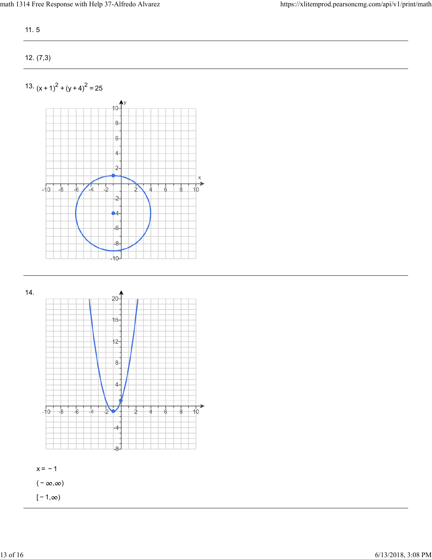11. 5

12. (7,3)

13.  $(x + 1)^2 + (y + 4)^2 = 25$ 



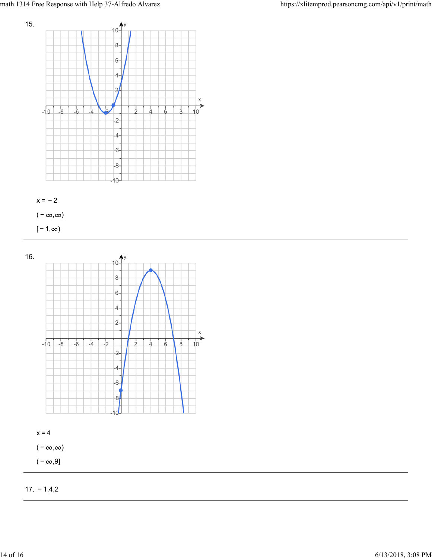



( –  $\infty, \infty$ )

 $[-1, \infty)$ 



17. − 1,4,2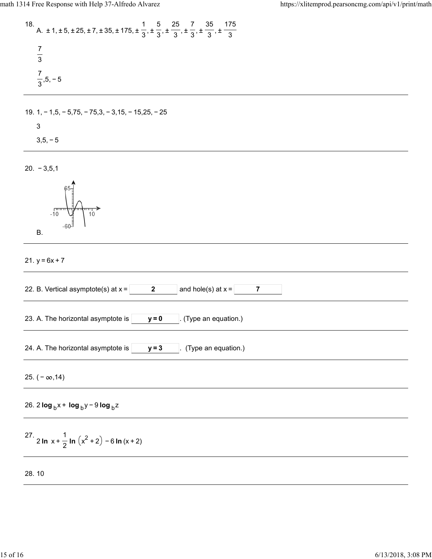18. A. 
$$
\pm 1, \pm 5, \pm 25, \pm 7, \pm 35, \pm 175, \pm \frac{1}{3}, \pm \frac{5}{3}, \pm \frac{25}{3}, \pm \frac{7}{3}, \pm \frac{35}{3}, \pm \frac{175}{3}
$$
  
\n $\frac{7}{3}$   
\n $\frac{7}{3}, 5, -5$ 

$$
19. 1, -1, 5, -5, 75, -75, 3, -3, 15, -15, 25, -25
$$

3

$$
3,5,-5
$$

20. − 3,5,1

B. 
$$
\begin{bmatrix} 65 \\ 65 \\ 10 \\ -60 \end{bmatrix}
$$

21.  $y = 6x + 7$ 

| and hole(s) at $x =$<br>22. B. Vertical asymptote(s) at $x =$<br>$\mathbf{2}$<br>$\overline{7}$ |
|-------------------------------------------------------------------------------------------------|
| 23. A. The horizontal asymptote is $ $<br>. (Type an equation.)<br>$y = 0$                      |
| 24. A. The horizontal asymptote is  <br>(Type an equation.)<br>$y = 3$                          |
| 25. $(-\infty, 14)$                                                                             |
| 26. 2 $\log_b x + \log_b y - 9 \log_b z$                                                        |
| 27. 2 In $x + \frac{1}{2}$ In $(x^2 + 2) - 6$ In $(x + 2)$                                      |
| 28.10                                                                                           |